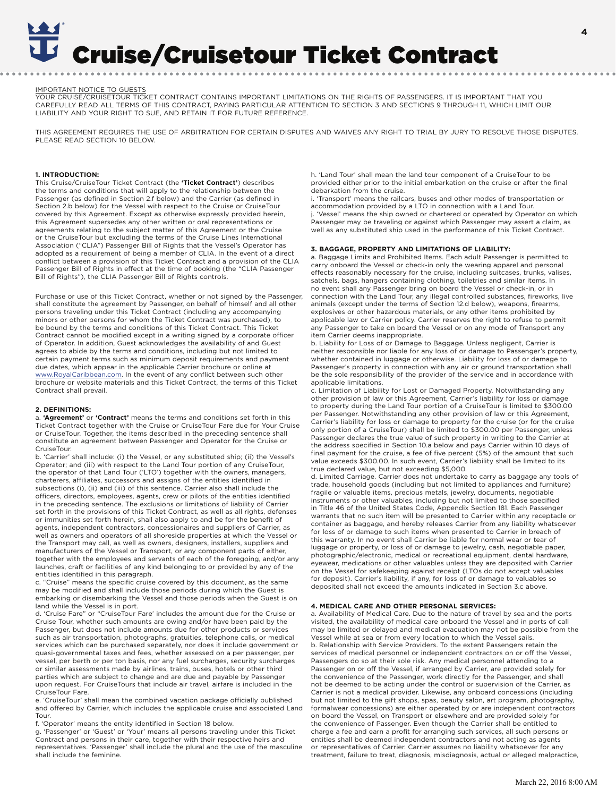# Cruise/Cruisetour Ticket Contract

# IMPORTANT NOTICE TO GUESTS

YOUR CRUISE/CRUISETOUR TICKET CONTRACT CONTAINS IMPORTANT LIMITATIONS ON THE RIGHTS OF PASSENGERS. IT IS IMPORTANT THAT YOU CAREFULLY READ ALL TERMS OF THIS CONTRACT, PAYING PARTICULAR ATTENTION TO SECTION 3 AND SECTIONS 9 THROUGH 11, WHICH LIMIT OUR LIABILITY AND YOUR RIGHT TO SUE, AND RETAIN IT FOR FUTURE REFERENCE.

THIS AGREEMENT REQUIRES THE USE OF ARBITRATION FOR CERTAIN DISPUTES AND WAIVES ANY RIGHT TO TRIAL BY JURY TO RESOLVE THOSE DISPUTES. PLEASE READ SECTION 10 BELOW.

## **1. INTRODUCTION:**

This Cruise/CruiseTour Ticket Contract (the **'Ticket Contract'**) describes the terms and conditions that will apply to the relationship between the Passenger (as defined in Section 2.f below) and the Carrier (as defined in Section 2.b below) for the Vessel with respect to the Cruise or CruiseTour covered by this Agreement. Except as otherwise expressly provided herein, this Agreement supersedes any other written or oral representations or agreements relating to the subject matter of this Agreement or the Cruise or the CruiseTour but excluding the terms of the Cruise Lines International Association ("CLIA") Passenger Bill of Rights that the Vessel's Operator has adopted as a requirement of being a member of CLIA. In the event of a direct conflict between a provision of this Ticket Contract and a provision of the CLIA Passenger Bill of Rights in effect at the time of booking (the "CLIA Passenger Bill of Rights"), the CLIA Passenger Bill of Rights controls.

Purchase or use of this Ticket Contract, whether or not signed by the Passenger, shall constitute the agreement by Passenger, on behalf of himself and all other persons traveling under this Ticket Contract (including any accompanying minors or other persons for whom the Ticket Contract was purchased), to be bound by the terms and conditions of this Ticket Contract. This Ticket Contract cannot be modified except in a writing signed by a corporate officer of Operator. In addition, Guest acknowledges the availability of and Guest agrees to abide by the terms and conditions, including but not limited to certain payment terms such as minimum deposit requirements and payment due dates, which appear in the applicable Carrier brochure or online at www.RoyalCaribbean.com. In the event of any conflict between such other brochure or website materials and this Ticket Contract, the terms of this Ticket Contract shall prevail.

# **2. DEFINITIONS:**

a. **'Agreement'** or **'Contract'** means the terms and conditions set forth in this Ticket Contract together with the Cruise or CruiseTour Fare due for Your Cruise or CruiseTour. Together, the items described in the preceding sentence shall constitute an agreement between Passenger and Operator for the Cruise or CruiseTour.

b. 'Carrier' shall include: (i) the Vessel, or any substituted ship; (ii) the Vessel's Operator; and (iii) with respect to the Land Tour portion of any CruiseTour, the operator of that Land Tour ('LTO') together with the owners, managers, charterers, affiliates, successors and assigns of the entities identified in subsections (i), (ii) and (iii) of this sentence. Carrier also shall include the officers, directors, employees, agents, crew or pilots of the entities identified in the preceding sentence. The exclusions or limitations of liability of Carrier set forth in the provisions of this Ticket Contract, as well as all rights, defenses or immunities set forth herein, shall also apply to and be for the benefit of agents, independent contractors, concessionaires and suppliers of Carrier, as well as owners and operators of all shoreside properties at which the Vessel or the Transport may call, as well as owners, designers, installers, suppliers and manufacturers of the Vessel or Transport, or any component parts of either, together with the employees and servants of each of the foregoing, and/or any launches, craft or facilities of any kind belonging to or provided by any of the entities identified in this paragraph.

c. "Cruise" means the specific cruise covered by this document, as the same may be modified and shall include those periods during which the Guest is embarking or disembarking the Vessel and those periods when the Guest is on land while the Vessel is in port.

d. 'Cruise Fare" or "CruiseTour Fare' includes the amount due for the Cruise or Cruise Tour, whether such amounts are owing and/or have been paid by the Passenger, but does not include amounts due for other products or services such as air transportation, photographs, gratuities, telephone calls, or medical services which can be purchased separately, nor does it include government or quasi-governmental taxes and fees, whether assessed on a per passenger, per vessel, per berth or per ton basis, nor any fuel surcharges, security surcharges or similar assessments made by airlines, trains, buses, hotels or other third parties which are subject to change and are due and payable by Passenger upon request. For CruiseTours that include air travel, airfare is included in the CruiseTour Fare.

e. 'CruiseTour' shall mean the combined vacation package officially published and offered by Carrier, which includes the applicable cruise and associated Land Tour.

f. 'Operator' means the entity identified in Section 18 below.

g. 'Passenger' or 'Guest' or 'Your' means all persons traveling under this Ticket Contract and persons in their care, together with their respective heirs and representatives. 'Passenger' shall include the plural and the use of the masculine shall include the feminine.

h. 'Land Tour' shall mean the land tour component of a CruiseTour to be provided either prior to the initial embarkation on the cruise or after the final debarkation from the cruise.

i. 'Transport' means the railcars, buses and other modes of transportation or accommodation provided by a LTO in connection with a Land Tour. 'Vessel' means the ship owned or chartered or operated by Operator on which Passenger may be traveling or against which Passenger may assert a claim, as well as any substituted ship used in the performance of this Ticket Contract.

## **3. BAGGAGE, PROPERTY AND LIMITATIONS OF LIABILITY:**

a. Baggage Limits and Prohibited Items. Each adult Passenger is permitted to carry onboard the Vessel or check-in only the wearing apparel and personal effects reasonably necessary for the cruise, including suitcases, trunks, valises, satchels, bags, hangers containing clothing, toiletries and similar items. In no event shall any Passenger bring on board the Vessel or check-in, or in connection with the Land Tour, any illegal controlled substances, fireworks, live animals (except under the terms of Section 12.d below), weapons, firearms, explosives or other hazardous materials, or any other items prohibited by applicable law or Carrier policy. Carrier reserves the right to refuse to permit any Passenger to take on board the Vessel or on any mode of Transport any item Carrier deems inappropriate.

b. Liability for Loss of or Damage to Baggage. Unless negligent, Carrier is neither responsible nor liable for any loss of or damage to Passenger's property, whether contained in luggage or otherwise. Liability for loss of or damage to Passenger's property in connection with any air or ground transportation shall be the sole responsibility of the provider of the service and in accordance with applicable limitations.

c. Limitation of Liability for Lost or Damaged Property. Notwithstanding any other provision of law or this Agreement, Carrier's liability for loss or damage to property during the Land Tour portion of a CruiseTour is limited to \$300.00 per Passenger. Notwithstanding any other provision of law or this Agreement, Carrier's liability for loss or damage to property for the cruise (or for the cruise only portion of a CruiseTour) shall be limited to \$300.00 per Passenger, unless Passenger declares the true value of such property in writing to the Carrier at the address specified in Section 10.a below and pays Carrier within 10 days of final payment for the cruise, a fee of five percent (5%) of the amount that such value exceeds \$300.00. In such event, Carrier's liability shall be limited to its true declared value, but not exceeding \$5,000.

d. Limited Carriage. Carrier does not undertake to carry as baggage any tools of trade, household goods (including but not limited to appliances and furniture) fragile or valuable items, precious metals, jewelry, documents, negotiable instruments or other valuables, including but not limited to those specified in Title 46 of the United States Code, Appendix Section 181. Each Passenger warrants that no such item will be presented to Carrier within any receptacle or container as baggage, and hereby releases Carrier from any liability whatsoever for loss of or damage to such items when presented to Carrier in breach of this warranty. In no event shall Carrier be liable for normal wear or tear of luggage or property, or loss of or damage to jewelry, cash, negotiable paper, photographic/electronic, medical or recreational equipment, dental hardware, eyewear, medications or other valuables unless they are deposited with Carrier on the Vessel for safekeeping against receipt (LTOs do not accept valuables for deposit). Carrier's liability, if any, for loss of or damage to valuables so deposited shall not exceed the amounts indicated in Section 3.c above.

# **4. MEDICAL CARE AND OTHER PERSONAL SERVICES:**

a. Availability of Medical Care. Due to the nature of travel by sea and the ports visited, the availability of medical care onboard the Vessel and in ports of call may be limited or delayed and medical evacuation may not be possible from the Vessel while at sea or from every location to which the Vessel sails. b. Relationship with Service Providers. To the extent Passengers retain the services of medical personnel or independent contractors on or off the Vessel, Passengers do so at their sole risk. Any medical personnel attending to a Passenger on or off the Vessel, if arranged by Carrier, are provided solely for the convenience of the Passenger, work directly for the Passenger, and shall not be deemed to be acting under the control or supervision of the Carrier, as Carrier is not a medical provider. Likewise, any onboard concessions (including but not limited to the gift shops, spas, beauty salon, art program, photography, formalwear concessions) are either operated by or are independent contractors on board the Vessel, on Transport or elsewhere and are provided solely for the convenience of Passenger. Even though the Carrier shall be entitled to charge a fee and earn a profit for arranging such services, all such persons or entities shall be deemed independent contractors and not acting as agents or representatives of Carrier. Carrier assumes no liability whatsoever for any treatment, failure to treat, diagnosis, misdiagnosis, actual or alleged malpractice,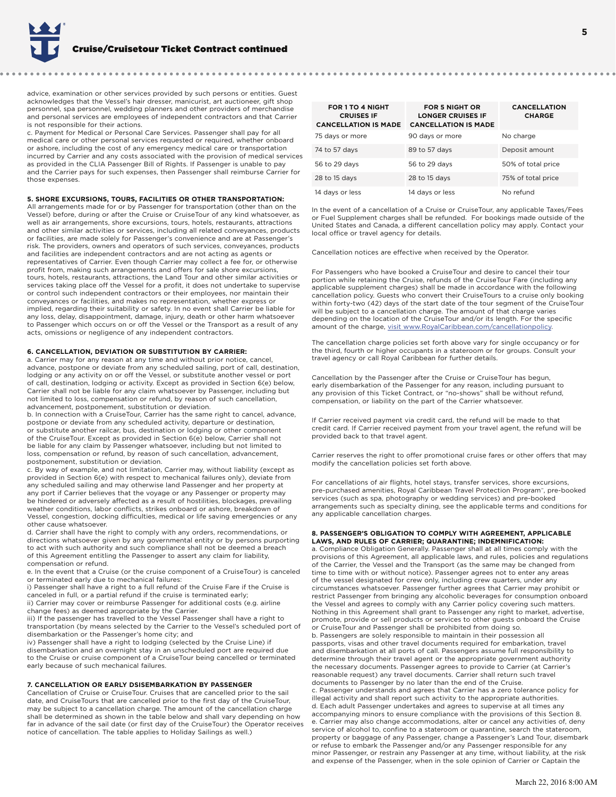advice, examination or other services provided by such persons or entities. Guest acknowledges that the Vessel's hair dresser, manicurist, art auctioneer, gift shop personnel, spa personnel, wedding planners and other providers of merchandise and personal services are employees of independent contractors and that Carrier is not responsible for their actions.

c. Payment for Medical or Personal Care Services. Passenger shall pay for all medical care or other personal services requested or required, whether onboard or ashore, including the cost of any emergency medical care or transportation incurred by Carrier and any costs associated with the provision of medical services as provided in the CLIA Passenger Bill of Rights. If Passenger is unable to pay and the Carrier pays for such expenses, then Passenger shall reimburse Carrier for those expenses.

# **5. SHORE EXCURSIONS, TOURS, FACILITIES OR OTHER TRANSPORTATION:**

All arrangements made for or by Passenger for transportation (other than on the Vessel) before, during or after the Cruise or CruiseTour of any kind whatsoever, as well as air arrangements, shore excursions, tours, hotels, restaurants, attractions and other similar activities or services, including all related conveyances, products or facilities, are made solely for Passenger's convenience and are at Passenger's risk. The providers, owners and operators of such services, conveyances, products and facilities are independent contractors and are not acting as agents or representatives of Carrier. Even though Carrier may collect a fee for, or otherwise profit from, making such arrangements and offers for sale shore excursions, tours, hotels, restaurants, attractions, the Land Tour and other similar activities or services taking place off the Vessel for a profit, it does not undertake to supervise or control such independent contractors or their employees, nor maintain their conveyances or facilities, and makes no representation, whether express or implied, regarding their suitability or safety. In no event shall Carrier be liable for any loss, delay, disappointment, damage, injury, death or other harm whatsoever to Passenger which occurs on or off the Vessel or the Transport as a result of any acts, omissions or negligence of any independent contractors.

# **6. CANCELLATION, DEVIATION OR SUBSTITUTION BY CARRIER:**

a. Carrier may for any reason at any time and without prior notice, cancel, advance, postpone or deviate from any scheduled sailing, port of call, destination, lodging or any activity on or off the Vessel, or substitute another vessel or port of call, destination, lodging or activity. Except as provided in Section 6(e) below, Carrier shall not be liable for any claim whatsoever by Passenger, including but not limited to loss, compensation or refund, by reason of such cancellation, advancement, postponement, substitution or deviation.

b. In connection with a CruiseTour, Carrier has the same right to cancel, advance, postpone or deviate from any scheduled activity, departure or destination, or substitute another railcar, bus, destination or lodging or other component of the CruiseTour. Except as provided in Section 6(e) below, Carrier shall not be liable for any claim by Passenger whatsoever, including but not limited to loss, compensation or refund, by reason of such cancellation, advancement, postponement, substitution or deviation.

c. By way of example, and not limitation, Carrier may, without liability (except as provided in Section 6(e) with respect to mechanical failures only), deviate from any scheduled sailing and may otherwise land Passenger and her property at any port if Carrier believes that the voyage or any Passenger or property may be hindered or adversely affected as a result of hostilities, blockages, prevailing weather conditions, labor conflicts, strikes onboard or ashore, breakdown of Vessel, congestion, docking difficulties, medical or life saving emergencies or any other cause whatsoever.

d. Carrier shall have the right to comply with any orders, recommendations, or directions whatsoever given by any governmental entity or by persons purporting to act with such authority and such compliance shall not be deemed a breach of this Agreement entitling the Passenger to assert any claim for liability, compensation or refund.

e. In the event that a Cruise (or the cruise component of a CruiseTour) is canceled or terminated early due to mechanical failures:

i) Passenger shall have a right to a full refund of the Cruise Fare if the Cruise is canceled in full, or a partial refund if the cruise is terminated early; ii) Carrier may cover or reimburse Passenger for additional costs (e.g. airline

change fees) as deemed appropriate by the Carrier. iii) If the passenger has travelled to the Vessel Passenger shall have a right to

transportation (by means selected by the Carrier to the Vessel's scheduled port of disembarkation or the Passenger's home city; and

iv) Passenger shall have a right to lodging (selected by the Cruise Line) if disembarkation and an overnight stay in an unscheduled port are required due to the Cruise or cruise component of a CruiseTour being cancelled or terminated early because of such mechanical failures.

# **7. CANCELLATION OR EARLY DSISEMBARKATION BY PASSENGER**

Cancellation of Cruise or CruiseTour. Cruises that are cancelled prior to the sail date, and CruiseTours that are cancelled prior to the first day of the CruiseTour, may be subject to a cancellation charge. The amount of the cancellation charge shall be determined as shown in the table below and shall vary depending on how far in advance of the sail date (or first day of the CruiseTour) the Operator receives notice of cancellation. The table applies to Holiday Sailings as well.)

| <b>FOR 1 TO 4 NIGHT</b><br><b>CRUISES IF</b><br><b>CANCELLATION IS MADE</b> | <b>FOR 5 NIGHT OR</b><br><b>LONGER CRUISES IF</b><br><b>CANCELLATION IS MADE</b> | <b>CANCELLATION</b><br><b>CHARGE</b> |
|-----------------------------------------------------------------------------|----------------------------------------------------------------------------------|--------------------------------------|
| 75 days or more                                                             | 90 days or more                                                                  | No charge                            |
| 74 to 57 days                                                               | 89 to 57 days                                                                    | Deposit amount                       |
| 56 to 29 days                                                               | 56 to 29 days                                                                    | 50% of total price                   |
| 28 to 15 days                                                               | 28 to 15 days                                                                    | 75% of total price                   |
| 14 days or less                                                             | 14 days or less                                                                  | No refund                            |

In the event of a cancellation of a Cruise or CruiseTour, any applicable Taxes/Fees or Fuel Supplement charges shall be refunded. For bookings made outside of the United States and Canada, a different cancellation policy may apply. Contact your local office or travel agency for details.

Cancellation notices are effective when received by the Operator.

For Passengers who have booked a CruiseTour and desire to cancel their tour portion while retaining the Cruise, refunds of the CruiseTour Fare (including any applicable supplement charges) shall be made in accordance with the following cancellation policy. Guests who convert their CruiseTours to a cruise only booking within forty-two (42) days of the start date of the tour segment of the CruiseTour will be subject to a cancellation charge. The amount of that charge varies depending on the location of the CruiseTour and/or its length. For the specific amount of the charge, visit www.RoyalCaribbean.com/cancellationpolicy.

The cancellation charge policies set forth above vary for single occupancy or for the third, fourth or higher occupants in a stateroom or for groups. Consult your travel agency or call Royal Caribbean for further details.

Cancellation by the Passenger after the Cruise or CruiseTour has begun, early disembarkation of the Passenger for any reason, including pursuant to any provision of this Ticket Contract, or "no-shows" shall be without refund, compensation, or liability on the part of the Carrier whatsoever.

If Carrier received payment via credit card, the refund will be made to that credit card. If Carrier received payment from your travel agent, the refund will be provided back to that travel agent.

Carrier reserves the right to offer promotional cruise fares or other offers that may modify the cancellation policies set forth above.

For cancellations of air flights, hotel stays, transfer services, shore excursions, pre-purchased amenities, Royal Caribbean Travel Protection Program", pre-booked services (such as spa, photography or wedding services) and pre-booked arrangements such as specialty dining, see the applicable terms and conditions for any applicable cancellation charges.

## **8. PASSENGER'S OBLIGATION TO COMPLY WITH AGREEMENT, APPLICABLE LAWS, AND RULES OF CARRIER; QUARANTINE; INDEMNIFICATION:**

a. Compliance Obligation Generally. Passenger shall at all times comply with the provisions of this Agreement, all applicable laws, and rules, policies and regulations of the Carrier, the Vessel and the Transport (as the same may be changed from time to time with or without notice). Passenger agrees not to enter any areas of the vessel designated for crew only, including crew quarters, under any circumstances whatsoever. Passenger further agrees that Carrier may prohibit or restrict Passenger from bringing any alcoholic beverages for consumption onboard the Vessel and agrees to comply with any Carrier policy covering such matters. Nothing in this Agreement shall grant to Passenger any right to market, advertise, promote, provide or sell products or services to other guests onboard the Cruise or CruiseTour and Passenger shall be prohibited from doing so.

b. Passengers are solely responsible to maintain in their possession all passports, visas and other travel documents required for embarkation, travel and disembarkation at all ports of call. Passengers assume full responsibility to determine through their travel agent or the appropriate government authority the necessary documents. Passenger agrees to provide to Carrier (at Carrier's reasonable request) any travel documents. Carrier shall return such travel documents to Passenger by no later than the end of the Cruise.

c. Passenger understands and agrees that Carrier has a zero tolerance policy for illegal activity and shall report such activity to the appropriate authorities. d. Each adult Passenger undertakes and agrees to supervise at all times any accompanying minors to ensure compliance with the provisions of this Section 8. e. Carrier may also change accommodations, alter or cancel any activities of, deny service of alcohol to, confine to a stateroom or quarantine, search the stateroom, property or baggage of any Passenger, change a Passenger's Land Tour, disembark or refuse to embark the Passenger and/or any Passenger responsible for any minor Passenger, or restrain any Passenger at any time, without liability, at the risk and expense of the Passenger, when in the sole opinion of Carrier or Captain the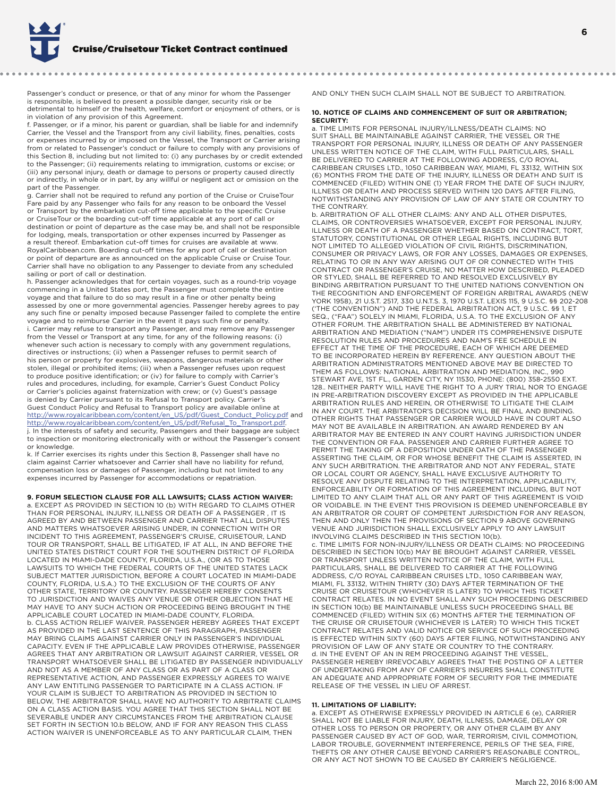Passenger's conduct or presence, or that of any minor for whom the Passenger is responsible, is believed to present a possible danger, security risk or be detrimental to himself or the health, welfare, comfort or enjoyment of others, or is in violation of any provision of this Agreement.

f. Passenger, or if a minor, his parent or guardian, shall be liable for and indemnify Carrier, the Vessel and the Transport from any civil liability, fines, penalties, costs or expenses incurred by or imposed on the Vessel, the Transport or Carrier arising from or related to Passenger's conduct or failure to comply with any provisions of this Section 8, including but not limited to: (i) any purchases by or credit extended to the Passenger; (ii) requirements relating to immigration, customs or excise; or (iii) any personal injury, death or damage to persons or property caused directly or indirectly, in whole or in part, by any willful or negligent act or omission on the part of the Passenger.

g. Carrier shall not be required to refund any portion of the Cruise or CruiseTour Fare paid by any Passenger who fails for any reason to be onboard the Vessel or Transport by the embarkation cut-off time applicable to the specific Cruise or CruiseTour or the boarding cut-off time applicable at any port of call or destination or point of departure as the case may be, and shall not be responsible for lodging, meals, transportation or other expenses incurred by Passenger as a result thereof. Embarkation cut-off times for cruises are available at www. RoyalCaribbean.com. Boarding cut-off times for any port of call or destination or point of departure are as announced on the applicable Cruise or Cruise Tour. Carrier shall have no obligation to any Passenger to deviate from any scheduled sailing or port of call or destination.

h. Passenger acknowledges that for certain voyages, such as a round-trip voyage commencing in a United States port, the Passenger must complete the entire voyage and that failure to do so may result in a fine or other penalty being assessed by one or more governmental agencies. Passenger hereby agrees to pay any such fine or penalty imposed because Passenger failed to complete the entire voyage and to reimburse Carrier in the event it pays such fine or penalty. i. Carrier may refuse to transport any Passenger, and may remove any Passenger from the Vessel or Transport at any time, for any of the following reasons: (i) whenever such action is necessary to comply with any government regulations, directives or instructions; (ii) when a Passenger refuses to permit search of his person or property for explosives, weapons, dangerous materials or other stolen, illegal or prohibited items; (iii) when a Passenger refuses upon request to produce positive identification; or (iv) for failure to comply with Carrier's rules and procedures, including, for example, Carrier's Guest Conduct Policy or Carrier's policies against fraternization with crew; or (v) Guest's passage is denied by Carrier pursuant to its Refusal to Transport policy. Carrier's Guest Conduct Policy and Refusal to Transport policy are available online at http://www.royalcaribbean.com/content/en\_US/pdf/Guest\_Conduct\_Policy.pdf and http://www.royalcaribbean.com/content/en\_US/pdf/Refusal\_To\_Transport.pdf. j. In the interests of safety and security, Passengers and their baggage are subject to inspection or monitoring electronically with or without the Passenger's consent or knowledge.

k. If Carrier exercises its rights under this Section 8, Passenger shall have no claim against Carrier whatsoever and Carrier shall have no liability for refund, compensation loss or damages of Passenger, including but not limited to any expenses incurred by Passenger for accommodations or repatriation.

# **9. FORUM SELECTION CLAUSE FOR ALL LAWSUITS; CLASS ACTION WAIVER:**

a. EXCEPT AS PROVIDED IN SECTION 10 (b) WITH REGARD TO CLAIMS OTHER THAN FOR PERSONAL INJURY, ILLNESS OR DEATH OF A PASSENGER , IT IS AGREED BY AND BETWEEN PASSENGER AND CARRIER THAT ALL DISPUTES AND MATTERS WHATSOEVER ARISING UNDER, IN CONNECTION WITH OR INCIDENT TO THIS AGREEMENT, PASSENGER'S CRUISE, CRUISETOUR, LAND TOUR OR TRANSPORT, SHALL BE LITIGATED, IF AT ALL, IN AND BEFORE THE UNITED STATES DISTRICT COURT FOR THE SOUTHERN DISTRICT OF FLORIDA LOCATED IN MIAMI-DADE COUNTY, FLORIDA, U.S.A., (OR AS TO THOSE LAWSUITS TO WHICH THE FEDERAL COURTS OF THE UNITED STATES LACK SUBJECT MATTER JURISDICTION, BEFORE A COURT LOCATED IN MIAMI-DADE COUNTY, FLORIDA, U.S.A.) TO THE EXCLUSION OF THE COURTS OF ANY OTHER STATE, TERRITORY OR COUNTRY. PASSENGER HEREBY CONSENTS TO JURISDICTION AND WAIVES ANY VENUE OR OTHER OBJECTION THAT HE MAY HAVE TO ANY SUCH ACTION OR PROCEEDING BEING BROUGHT IN THE APPLICABLE COURT LOCATED IN MIAMI-DADE COUNTY, FLORIDA. b. CLASS ACTION RELIEF WAIVER. PASSENGER HEREBY AGREES THAT EXCEPT AS PROVIDED IN THE LAST SENTENCE OF THIS PARAGRAPH, PASSENGER MAY BRING CLAIMS AGAINST CARRIER ONLY IN PASSENGER'S INDIVIDUAL CAPACITY. EVEN IF THE APPLICABLE LAW PROVIDES OTHERWISE, PASSENGER AGREES THAT ANY ARBITRATION OR LAWSUIT AGAINST CARRIER, VESSEL OR TRANSPORT WHATSOEVER SHALL BE LITIGATED BY PASSENGER INDIVIDUALLY AND NOT AS A MEMBER OF ANY CLASS OR AS PART OF A CLASS OR REPRESENTATIVE ACTION, AND PASSENGER EXPRESSLY AGREES TO WAIVE ANY LAW ENTITLING PASSENGER TO PARTICIPATE IN A CLASS ACTION. IF YOUR CLAIM IS SUBJECT TO ARBITRATION AS PROVIDED IN SECTION 10 BELOW, THE ARBITRATOR SHALL HAVE NO AUTHORITY TO ARBITRATE CLAIMS ON A CLASS ACTION BASIS. YOU AGREE THAT THIS SECTION SHALL NOT BE SEVERABLE UNDER ANY CIRCUMSTANCES FROM THE ARBITRATION CLAUSE SET FORTH IN SECTION 10.b BELOW, AND IF FOR ANY REASON THIS CLASS ACTION WAIVER IS UNENFORCEABLE AS TO ANY PARTICULAR CLAIM, THEN

AND ONLY THEN SUCH CLAIM SHALL NOT BE SUBJECT TO ARBITRATION.

#### **10. NOTICE OF CLAIMS AND COMMENCEMENT OF SUIT OR ARBITRATION; SECURITY:**

a. TIME LIMITS FOR PERSONAL INJURY/ILLNESS/DEATH CLAIMS: NO SUIT SHALL BE MAINTAINABLE AGAINST CARRIER, THE VESSEL OR THE TRANSPORT FOR PERSONAL INJURY, ILLNESS OR DEATH OF ANY PASSENGER UNLESS WRITTEN NOTICE OF THE CLAIM, WITH FULL PARTICULARS, SHALL BE DELIVERED TO CARRIER AT THE FOLLOWING ADDRESS, C/O ROYAL CARIBBEAN CRUISES LTD., 1050 CARIBBEAN WAY, MIAMI, FL 33132, WITHIN SIX (6) MONTHS FROM THE DATE OF THE INJURY, ILLNESS OR DEATH AND SUIT IS COMMENCED (FILED) WITHIN ONE (1) YEAR FROM THE DATE OF SUCH INJURY, ILLNESS OR DEATH AND PROCESS SERVED WITHIN 120 DAYS AFTER FILING, NOTWITHSTANDING ANY PROVISION OF LAW OF ANY STATE OR COUNTRY TO THE CONTRARY.

b. ARBITRATION OF ALL OTHER CLAIMS: ANY AND ALL OTHER DISPUTES, CLAIMS, OR CONTROVERSIES WHATSOEVER, EXCEPT FOR PERSONAL INJURY, ILLNESS OR DEATH OF A PASSENGER WHETHER BASED ON CONTRACT, TORT, STATUTORY, CONSTITUTIONAL OR OTHER LEGAL RIGHTS, INCLUDING BUT NOT LIMITED TO ALLEGED VIOLATION OF CIVIL RIGHTS, DISCRIMINATION, CONSUMER OR PRIVACY LAWS, OR FOR ANY LOSSES, DAMAGES OR EXPENSES, RELATING TO OR IN ANY WAY ARISING OUT OF OR CONNECTED WITH THIS CONTRACT OR PASSENGER'S CRUISE, NO MATTER HOW DESCRIBED, PLEADED OR STYLED, SHALL BE REFERRED TO AND RESOLVED EXCLUSIVELY BY BINDING ARBITRATION PURSUANT TO THE UNITED NATIONS CONVENTION ON THE RECOGNITION AND ENFORCEMENT OF FOREIGN ARBITRAL AWARDS (NEW YORK 1958), 21 U.S.T. 2517, 330 U.N.T.S. 3, 1970 U.S.T. LEXIS 115, 9 U.S.C. §§ 202-208 ('THE CONVENTION") AND THE FEDERAL ARBITRATION ACT, 9 U.S.C. §§ 1, ET SEQ., ("FAA") SOLELY IN MIAMI, FLORIDA, U.S.A. TO THE EXCLUSION OF ANY OTHER FORUM. THE ARBITRATION SHALL BE ADMINISTERED BY NATIONAL ARBITRATION AND MEDIATION ("NAM") UNDER ITS COMPREHENSIVE DISPUTE RESOLUTION RULES AND PROCEDURES AND NAM'S FEE SCHEDULE IN EFFECT AT THE TIME OF THE PROCEDURE, EACH OF WHICH ARE DEEMED TO BE INCORPORATED HEREIN BY REFERENCE. ANY QUESTION ABOUT THE ARBITRATION ADMINISTRATORS MENTIONED ABOVE MAY BE DIRECTED TO THEM AS FOLLOWS: NATIONAL ARBITRATION AND MEDIATION, INC., 990 STEWART AVE, 1ST FL., GARDEN CITY, NY 11530, PHONE: (800) 358-2550 EXT. 128.. NEITHER PARTY WILL HAVE THE RIGHT TO A JURY TRIAL NOR TO ENGAGE IN PRE-ARBITRATION DISCOVERY EXCEPT AS PROVIDED IN THE APPLICABLE ARBITRATION RULES AND HEREIN, OR OTHERWISE TO LITIGATE THE CLAIM IN ANY COURT. THE ARBITRATOR'S DECISION WILL BE FINAL AND BINDING. OTHER RIGHTS THAT PASSENGER OR CARRIER WOULD HAVE IN COURT ALSO MAY NOT BE AVAILABLE IN ARBITRATION. AN AWARD RENDERED BY AN ARBITRATOR MAY BE ENTERED IN ANY COURT HAVING JURISDICTION UNDER THE CONVENTION OR FAA. PASSENGER AND CARRIER FURTHER AGREE TO PERMIT THE TAKING OF A DEPOSITION UNDER OATH OF THE PASSENGER ASSERTING THE CLAIM, OR FOR WHOSE BENEFIT THE CLAIM IS ASSERTED, IN ANY SUCH ARBITRATION. THE ARBITRATOR AND NOT ANY FEDERAL, STATE OR LOCAL COURT OR AGENCY, SHALL HAVE EXCLUSIVE AUTHORITY TO RESOLVE ANY DISPUTE RELATING TO THE INTERPRETATION, APPLICABILITY, ENFORCEABILITY OR FORMATION OF THIS AGREEMENT INCLUDING, BUT NOT LIMITED TO ANY CLAIM THAT ALL OR ANY PART OF THIS AGREEMENT IS VOID OR VOIDABLE. IN THE EVENT THIS PROVISION IS DEEMED UNENFORCEABLE BY AN ARBITRATOR OR COURT OF COMPETENT JURISDICTION FOR ANY REASON, THEN AND ONLY THEN THE PROVISIONS OF SECTION 9 ABOVE GOVERNING VENUE AND JURISDICTION SHALL EXCLUSIVELY APPLY TO ANY LAWSUIT INVOLVING CLAIMS DESCRIBED IN THIS SECTION 10(b). c. TIME LIMITS FOR NON-INJURY/ILLNESS OR DEATH CLAIMS: NO PROCEEDING

DESCRIBED IN SECTION 10(b) MAY BE BROUGHT AGAINST CARRIER, VESSEL OR TRANSPORT UNLESS WRITTEN NOTICE OF THE CLAIM, WITH FULL PARTICULARS, SHALL BE DELIVERED TO CARRIER AT THE FOLLOWING ADDRESS, C/O ROYAL CARIBBEAN CRUISES LTD., 1050 CARIBBEAN WAY, MIAMI, FL 33132, WITHIN THIRTY (30) DAYS AFTER TERMINATION OF THE CRUISE OR CRUISETOUR (WHICHEVER IS LATER) TO WHICH THIS TICKET CONTRACT RELATES. IN NO EVENT SHALL ANY SUCH PROCEEDING DESCRIBED IN SECTION 10(b) BE MAINTAINABLE UNLESS SUCH PROCEEDING SHALL BE COMMENCED (FILED) WITHIN SIX (6) MONTHS AFTER THE TERMINATION OF THE CRUISE OR CRUISETOUR (WHICHEVER IS LATER) TO WHICH THIS TICKET CONTRACT RELATES AND VALID NOTICE OR SERVICE OF SUCH PROCEEDING IS EFFECTED WITHIN SIXTY (60) DAYS AFTER FILING, NOTWITHSTANDING ANY PROVISION OF LAW OF ANY STATE OR COUNTRY TO THE CONTRARY. d. IN THE EVENT OF AN IN REM PROCEEDING AGAINST THE VESSEL, PASSENGER HEREBY IRREVOCABLY AGREES THAT THE POSTING OF A LETTER OF UNDERTAKING FROM ANY OF CARRIER'S INSURERS SHALL CONSTITUTE AN ADEQUATE AND APPROPRIATE FORM OF SECURITY FOR THE IMMEDIATE RELEASE OF THE VESSEL IN LIEU OF ARREST.

## **11. LIMITATIONS OF LIABILITY:**

a. EXCEPT AS OTHERWISE EXPRESSLY PROVIDED IN ARTICLE 6 (e), CARRIER SHALL NOT BE LIABLE FOR INJURY, DEATH, ILLNESS, DAMAGE, DELAY OR OTHER LOSS TO PERSON OR PROPERTY, OR ANY OTHER CLAIM BY ANY PASSENGER CAUSED BY ACT OF GOD, WAR, TERRORISM, CIVIL COMMOTION, LABOR TROUBLE, GOVERNMENT INTERFERENCE, PERILS OF THE SEA, FIRE, THEFTS OR ANY OTHER CAUSE BEYOND CARRIER'S REASONABLE CONTROL, OR ANY ACT NOT SHOWN TO BE CAUSED BY CARRIER'S NEGLIGENCE.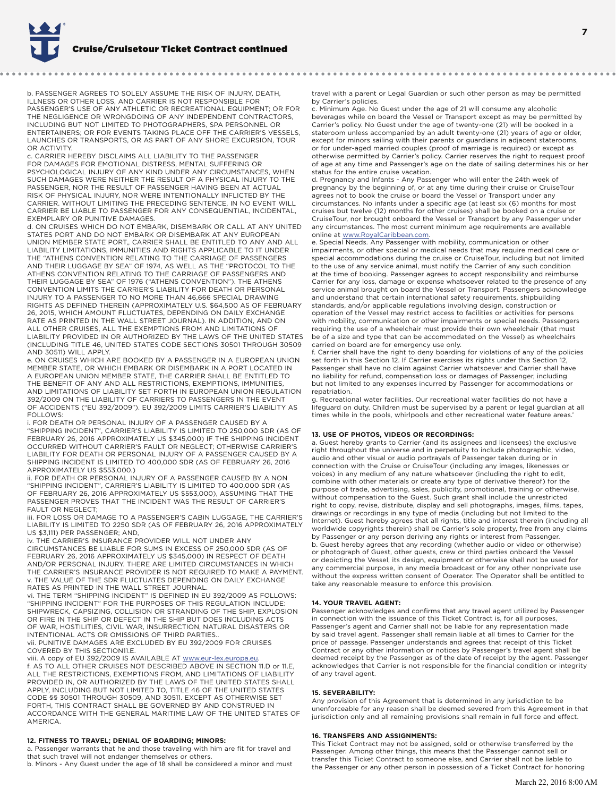b. PASSENGER AGREES TO SOLELY ASSUME THE RISK OF INJURY, DEATH, ILLNESS OR OTHER LOSS, AND CARRIER IS NOT RESPONSIBLE FOR PASSENGER'S USE OF ANY ATHLETIC OR RECREATIONAL EQUIPMENT; OR FOR THE NEGLIGENCE OR WRONGDOING OF ANY INDEPENDENT CONTRACTORS, INCLUDING BUT NOT LIMITED TO PHOTOGRAPHERS, SPA PERSONNEL OR ENTERTAINERS; OR FOR EVENTS TAKING PLACE OFF THE CARRIER'S VESSELS, LAUNCHES OR TRANSPORTS, OR AS PART OF ANY SHORE EXCURSION, TOUR OR ACTIVITY.

c. CARRIER HEREBY DISCLAIMS ALL LIABILITY TO THE PASSENGER FOR DAMAGES FOR EMOTIONAL DISTRESS, MENTAL SUFFERING OR PSYCHOLOGICAL INJURY OF ANY KIND UNDER ANY CIRCUMSTANCES, WHEN SUCH DAMAGES WERE NEITHER THE RESULT OF A PHYSICAL INJURY TO THE PASSENGER, NOR THE RESULT OF PASSENGER HAVING BEEN AT ACTUAL RISK OF PHYSICAL INJURY, NOR WERE INTENTIONALLY INFLICTED BY THE CARRIER. WITHOUT LIMITING THE PRECEDING SENTENCE, IN NO EVENT WILL CARRIER BE LIABLE TO PASSENGER FOR ANY CONSEQUENTIAL, INCIDENTAL, EXEMPLARY OR PUNITIVE DAMAGES.

d. ON CRUISES WHICH DO NOT EMBARK, DISEMBARK OR CALL AT ANY UNITED STATES PORT AND DO NOT EMBARK OR DISEMBARK AT ANY EUROPEAN UNION MEMBER STATE PORT,, CARRIER SHALL BE ENTITLED TO ANY AND ALL LIABILITY LIMITATIONS, IMMUNITIES AND RIGHTS APPLICABLE TO IT UNDER THE "ATHENS CONVENTION RELATING TO THE CARRIAGE OF PASSENGERS AND THEIR LUGGAGE BY SEA" OF 1974, AS WELL AS THE "PROTOCOL TO THE ATHENS CONVENTION RELATING TO THE CARRIAGE OF PASSENGERS AND THEIR LUGGAGE BY SEA" OF 1976 ("ATHENS CONVENTION"). THE ATHENS CONVENTION LIMITS THE CARRIER'S LIABILITY FOR DEATH OR PERSONAL INJURY TO A PASSENGER TO NO MORE THAN 46,666 SPECIAL DRAWING RIGHTS AS DEFINED THEREIN (APPROXIMATELY U.S. \$64,500 AS OF FEBRUARY 26, 2015, WHICH AMOUNT FLUCTUATES, DEPENDING ON DAILY EXCHANGE RATE AS PRINTED IN THE WALL STREET JOURNAL). IN ADDITION, AND ON ALL OTHER CRUISES, ALL THE EXEMPTIONS FROM AND LIMITATIONS OF LIABILITY PROVIDED IN OR AUTHORIZED BY THE LAWS OF THE UNITED STATES (INCLUDING TITLE 46, UNITED STATES CODE SECTIONS 30501 THROUGH 30509 AND 30511) WILL APPLY.

e. ON CRUISES WHICH ARE BOOKED BY A PASSENGER IN A EUROPEAN UNION MEMBER STATE, OR WHICH EMBARK OR DISEMBARK IN A PORT LOCATED IN A EUROPEAN UNION MEMBER STATE, THE CARRIER SHALL BE ENTITLED TO THE BENEFIT OF ANY AND ALL RESTRICTIONS, EXEMPTIONS, IMMUNITIES, AND LIMITATIONS OF LIABILITY SET FORTH IN EUROPEAN UNION REGULATION 392/2009 ON THE LIABILITY OF CARRIERS TO PASSENGERS IN THE EVENT OF ACCIDENTS ("EU 392/2009"). EU 392/2009 LIMITS CARRIER'S LIABILITY AS FOLLOWS:

i. FOR DEATH OR PERSONAL INJURY OF A PASSENGER CAUSED BY A "SHIPPING INCIDENT", CARRIER'S LIABILITY IS LIMITED TO 250,000 SDR (AS OF FEBRUARY 26, 2016 APPROXIMATELY US \$345,000) IF THE SHIPPING INCIDENT OCCURRED WITHOUT CARRIER'S FAULT OR NEGLECT; OTHERWISE CARRIER'S LIABILITY FOR DEATH OR PERSONAL INJURY OF A PASSENGER CAUSED BY A SHIPPING INCIDENT IS LIMITED TO 400,000 SDR (AS OF FEBRUARY 26, 2016 APPROXIMATELY US \$553,000.)

ii. FOR DEATH OR PERSONAL INJURY OF A PASSENGER CAUSED BY A NON "SHIPPING INCIDENT", CARRIER'S LIABILITY IS LIMITED TO 400,000 SDR (AS OF FEBRUARY 26, 2016 APPROXIMATELY US \$553,000), ASSUMING THAT THE PASSENGER PROVES THAT THE INCIDENT WAS THE RESULT OF CARRIER'S FAULT OR NEGLECT;

iii. FOR LOSS OR DAMAGE TO A PASSENGER'S CABIN LUGGAGE, THE CARRIER'S LIABILITY IS LIMITED TO 2250 SDR (AS OF FEBRUARY 26, 2016 APPROXIMATELY US \$3,111) PER PASSENGER; AND,

iv. THE CARRIER'S INSURANCE PROVIDER WILL NOT UNDER ANY CIRCUMSTANCES BE LIABLE FOR SUMS IN EXCESS OF 250,000 SDR (AS OF FEBRUARY 26, 2016 APPROXIMATELY US \$345,000) IN RESPECT OF DEATH AND/OR PERSONAL INJURY. THERE ARE LIMITED CIRCUMSTANCES IN WHICH THE CARRIER'S INSURANCE PROVIDER IS NOT REQUIRED TO MAKE A PAYMENT. v. THE VALUE OF THE SDR FLUCTUATES DEPENDING ON DAILY EXCHANGE RATES AS PRINTED IN THE WALL STREET JOURNAL.

vi. THE TERM "SHIPPING INCIDENT" IS DEFINED IN EU 392/2009 AS FOLLOWS: "SHIPPING INCIDENT" FOR THE PURPOSES OF THIS REGULATION INCLUDE: SHIPWRECK, CAPSIZING, COLLISION OR STRANDING OF THE SHIP, EXPLOSION OR FIRE IN THE SHIP OR DEFECT IN THE SHIP BUT DOES INCLUDING ACTS OF WAR, HOSTILITIES, CIVIL WAR, INSURRECTION, NATURAL DISASTERS OR INTENTIONAL ACTS OR OMISSIONS OF THIRD PARTIES..

vii. PUNITIVE DAMAGES ARE EXCLUDED BY EU 392/2009 FOR CRUISES COVERED BY THIS SECTION11.E.

viii. A copy of EU 392/2009 IS AVAILABLE AT www.eur-lex.europa.eu. f. AS TO ALL OTHER CRUISES NOT DESCRIBED ABOVE IN SECTION 11.D or 11.E, ALL THE RESTRICTIONS, EXEMPTIONS FROM, AND LIMITATIONS OF LIABILITY PROVIDED IN, OR AUTHORIZED BY THE LAWS OF THE UNITED STATES SHALL APPLY, INCLUDING BUT NOT LIMITED TO, TITLE 46 OF THE UNITED STATES CODE §§ 30501 THROUGH 30509, AND 30511. EXCEPT AS OTHERWISE SET FORTH, THIS CONTRACT SHALL BE GOVERNED BY AND CONSTRUED IN ACCORDANCE WITH THE GENERAL MARITIME LAW OF THE UNITED STATES OF AMERICA.

# **12. FITNESS TO TRAVEL; DENIAL OF BOARDING; MINORS:**

a. Passenger warrants that he and those traveling with him are fit for travel and that such travel will not endanger themselves or others.

b. Minors - Any Guest under the age of 18 shall be considered a minor and must

travel with a parent or Legal Guardian or such other person as may be permitted by Carrier's policies.

c. Minimum Age. No Guest under the age of 21 will consume any alcoholic beverages while on board the Vessel or Transport except as may be permitted by Carrier's policy. No Guest under the age of twenty-one (21) will be booked in a stateroom unless accompanied by an adult twenty-one (21) years of age or older, except for minors sailing with their parents or guardians in adjacent staterooms, or for under-aged married couples (proof of marriage is required) or except as otherwise permitted by Carrier's policy. Carrier reserves the right to request proof of age at any time and Passenger's age on the date of sailing determines his or her status for the entire cruise vacation.

d. Pregnancy and Infants - Any Passenger who will enter the 24th week of pregnancy by the beginning of, or at any time during their cruise or CruiseTour agrees not to book the cruise or board the Vessel or Transport under any circumstances. No infants under a specific age (at least six (6) months for most cruises but twelve (12) months for other cruises) shall be booked on a cruise or CruiseTour, nor brought onboard the Vessel or Transport by any Passenger under any circumstances. The most current minimum age requirements are available online at www.RoyalCaribbean.com.

e. Special Needs. Any Passenger with mobility, communication or other impairments, or other special or medical needs that may require medical care or special accommodations during the cruise or CruiseTour, including but not limited to the use of any service animal, must notify the Carrier of any such condition at the time of booking. Passenger agrees to accept responsibility and reimburse Carrier for any loss, damage or expense whatsoever related to the presence of any service animal brought on board the Vessel or Transport. Passengers acknowledge and understand that certain international safety requirements, shipbuilding standards, and/or applicable regulations involving design, construction or operation of the Vessel may restrict access to facilities or activities for persons with mobility, communication or other impairments or special needs. Passengers requiring the use of a wheelchair must provide their own wheelchair (that must be of a size and type that can be accommodated on the Vessel) as wheelchairs carried on board are for emergency use only.

f. Carrier shall have the right to deny boarding for violations of any of the policies set forth in this Section 12. If Carrier exercises its rights under this Section 12, Passenger shall have no claim against Carrier whatsoever and Carrier shall have no liability for refund, compensation loss or damages of Passenger, including but not limited to any expenses incurred by Passenger for accommodations or repatriation.

g. Recreational water facilities. Our recreational water facilities do not have a lifeguard on duty. Children must be supervised by a parent or legal guardian at all times while in the pools, whirlpools and other recreational water feature areas.'

#### **13. USE OF PHOTOS, VIDEOS OR RECORDINGS:**

a. Guest hereby grants to Carrier (and its assignees and licensees) the exclusive right throughout the universe and in perpetuity to include photographic, video, audio and other visual or audio portrayals of Passenger taken during or in connection with the Cruise or CruiseTour (including any images, likenesses or voices) in any medium of any nature whatsoever (including the right to edit, combine with other materials or create any type of derivative thereof) for the purpose of trade, advertising, sales, publicity, promotional, training or otherwise, without compensation to the Guest. Such grant shall include the unrestricted right to copy, revise, distribute, display and sell photographs, images, films, tapes, drawings or recordings in any type of media (including but not limited to the Internet). Guest hereby agrees that all rights, title and interest therein (including all worldwide copyrights therein) shall be Carrier's sole property, free from any claims by Passenger or any person deriving any rights or interest from Passenger. b. Guest hereby agrees that any recording (whether audio or video or otherwise) or photograph of Guest, other guests, crew or third parties onboard the Vessel or depicting the Vessel, its design, equipment or otherwise shall not be used for any commercial purpose, in any media broadcast or for any other nonprivate use without the express written consent of Operator. The Operator shall be entitled to take any reasonable measure to enforce this provision.

## **14. YOUR TRAVEL AGENT:**

Passenger acknowledges and confirms that any travel agent utilized by Passenger in connection with the issuance of this Ticket Contract is, for all purposes, Passenger's agent and Carrier shall not be liable for any representation made by said travel agent. Passenger shall remain liable at all times to Carrier for the price of passage. Passenger understands and agrees that receipt of this Ticket Contract or any other information or notices by Passenger's travel agent shall be deemed receipt by the Passenger as of the date of receipt by the agent. Passenger acknowledges that Carrier is not responsible for the financial condition or integrity of any travel agent.

## **15. SEVERABILITY:**

Any provision of this Agreement that is determined in any jurisdiction to be unenforceable for any reason shall be deemed severed from this Agreement in that jurisdiction only and all remaining provisions shall remain in full force and effect.

# **16. TRANSFERS AND ASSIGNMENTS:**

This Ticket Contract may not be assigned, sold or otherwise transferred by the Passenger. Among other things, this means that the Passenger cannot sell or transfer this Ticket Contract to someone else, and Carrier shall not be liable to the Passenger or any other person in possession of a Ticket Contract for honoring